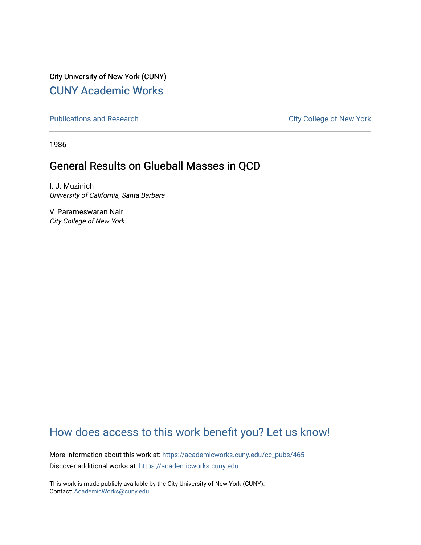City University of New York (CUNY) [CUNY Academic Works](https://academicworks.cuny.edu/) 

[Publications and Research](https://academicworks.cuny.edu/cc_pubs) **City College of New York** Publications and Research

1986

## General Results on Glueball Masses in QCD

I. J. Muzinich University of California, Santa Barbara

V. Parameswaran Nair City College of New York

## [How does access to this work benefit you? Let us know!](http://ols.cuny.edu/academicworks/?ref=https://academicworks.cuny.edu/cc_pubs/465)

More information about this work at: [https://academicworks.cuny.edu/cc\\_pubs/465](https://academicworks.cuny.edu/cc_pubs/465)  Discover additional works at: [https://academicworks.cuny.edu](https://academicworks.cuny.edu/?)

This work is made publicly available by the City University of New York (CUNY). Contact: [AcademicWorks@cuny.edu](mailto:AcademicWorks@cuny.edu)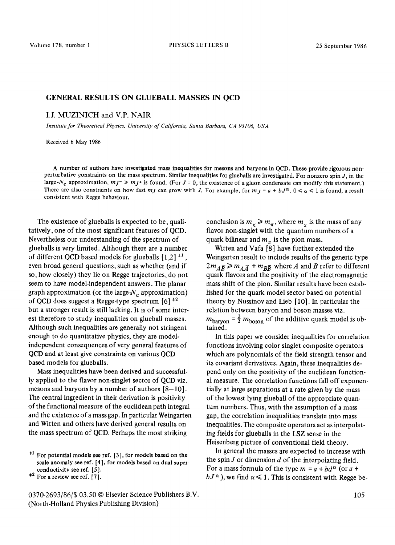## GENERAL RESULTS ON GLUEBALL MASSES IN QCD

I.J. MUZINICH and V.P. NAIR

*Institute for Theoretical Physics, University of California, Santa Barbara, CA 93106, USA* 

Received 6 May 1986

A number of authors have investigated mass inequalities **for mesons** and baryons in QCD. These provide rigorous nonperturbative constraints on the mass spectrum. Similar inequalities for glueballs are investigated. For nonzero spin  $J$ , in the large-N<sub>c</sub> approximation,  $m_J \geq m_J$ + is found. (For  $J = 0$ , the existence of a gluon condensate can modify this statement.) There are also constraints on how fast *mj* can grow with *J*. For example, for  $m_j = a + b_j a$ ,  $0 \le \alpha \le 1$  is found, a result consistent with Regge behaviour.

The existence of glueballs is expected to be, qualitatively, one of the most significant features of QCD. Nevertheless our understanding of the spectrum of glueballs is very limited. Although there are a number of different QCD based models for glueballs  $[1,2]$ <sup> $\pm 1$ </sup>, even broad general questions, such as whether (and if so, how closely) they lie on Regge trajectories, do not seem to have model-independent answers. The planar graph approximation (or the large- $N_c$  approximation) of QCD does suggest a Regge-type spectrum  $\lceil 6 \rceil$ <sup> $\pm 2$ </sup> but a stronger result is still lacking. It is of some interest therefore to study inequalities on glueball masses. Although such inequalities are generally not stringent enough to do quantitative physics, they are modelindependent consequences of very general features of QCD and at least give constraints on various QCD based models for glueballs.

Mass inequalities have been derived and successfully applied to the flavor non-singlet sector of QCD viz. mesons and baryons by a number of authors  $[8-10]$ . The central ingredient in their derivation is positivity of the functional measure of the euclidean path integral and the existence of a mass gap. In particular Weingarten and Witten and others have derived general results on the mass spectrum of QCD. Perhaps the most striking

0370-2693/86/\$ 03.50 © Elsevier Science Publishers B.V. (North-Holland Physics Publishing Division)

conclusion is  $m_{\chi} \ge m_{\pi}$ , where  $m_{\chi}$  is the mass of any flavor non-singlet with the quantum numbers of a quark bilinear and  $m_\pi$  is the pion mass.

Witten and Vafa [8] have further extended the Weingarten result to include results of the generic type  $2m_{\tilde{A}\tilde{B}} \geq m_{\tilde{A}\tilde{A}} + m_{\tilde{B}\tilde{B}}$  where A and B refer to different quark flavors and the positivity of the electromagnetic mass shift of the pion. Similar results have been established for the quark model sector based on potential theory by Nussinov and Lieb [ 10]. In particular the relation between baryon and boson masses viz.  $m_{\text{baryon}} = \frac{3}{2} m_{\text{boson}}$  of the additive quark model is obtained.

In this paper we consider inequalities for correlation functions involving color singlet composite operators which are polynomials of the field strength tensor and its covariant derivatives. Again, these inequalities depend only on the positivity of the euclidean functional measure. The correlation functions fall off exponentially at large separations at a rate given by the mass of the lowest lying glueball of the appropriate quantum numbers. Thus, with the assumption of a mass gap, the correlation inequalities translate into mass inequalities. The composite operators act as interpolating fields for glueballs in the LSZ sense in the Heisenberg picture of conventional field theory.

In general the masses are expected to increase with the spin  $J$  or dimension  $d$  of the interpolating field. For a mass formula of the type  $m = a + bd^{\alpha}$  (or  $a +$  $bJ^{\alpha}$ ), we find  $\alpha \leq 1$ . This is consistent with Regge be-

 $*1$  For potential models see ref. [3], for models based on the scale anomaly see ref. [4], **for models** based on dual superconductivity see ref. [5 ].

 $*<sup>2</sup>$  For a review see ref. [7].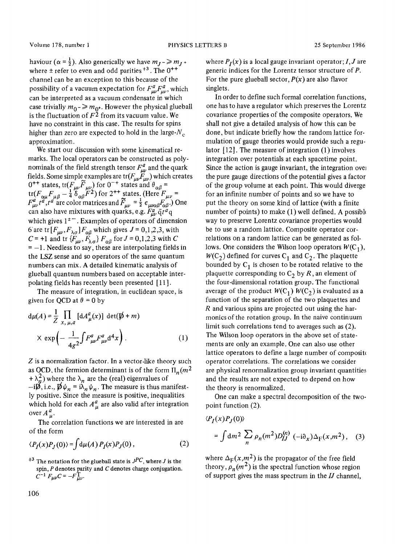haviour  $(\alpha = \frac{1}{2})$ . Also generically we have  $m_J \rightarrow m_J + \frac{1}{2} m_J$ where  $\pm$  refer to even and odd parities  $^{+3}$ . The 0<sup>++</sup> channel can be an exception to this because of the possibility of a vacuum expectation for  $F_{\mu\nu}^a F_{\mu\nu}^a$ , which can be interpreted as a vacuum condensate in which case trivially  $m_0$  -  $\gg m_0$ . However the physical glueball is the fluctuation of  $F^2$  from its vacuum value. We have no constraint in this case. The results for spins higher than zero are expected to hold in the large- $N_c$ approximation.

We start our discussion with some kinematical remarks. The local operators can be constructed as polynominals of the field strength tensor  $F_{\mu\nu}^a$  and the quark fields. Some simple examples are  $tr(F_{\mu\nu}F_{\mu\nu})$  which creates  $0^{++}$  states, tr( $F_{\mu\nu}F_{\mu\nu}$ ) for  $0^{-+}$  states and  $\theta_{\alpha\beta}$  =  $tr(F_{\alpha\mu}F_{\mu\beta}-\frac{1}{4}\delta_{\alpha\beta}F^2)$  for  $2^{++}$  states. (Here  $F_{\mu\nu}$  =  $F_{\mu\nu}^u t^a$ ,  $t^a$  are color matrices and  $F_{\mu\nu} = \frac{1}{2} \epsilon_{\mu\nu\alpha\beta} F_{\alpha\beta}$ .) One can also have mixtures with quarks, e.g.  $F_{\mu\nu}^a \bar{q} t^a q$ which gives  $1<sup>±</sup>$ . Examples of operators of dimension 6 are tr  $[F_{\mu\nu}, F_{\lambda\sigma}] F_{\alpha\beta}$  which gives  $J = 0,1,2,3$ , with C = +1 and tr  $\{F_{\mu\nu}, F_{\lambda\sigma}\} F_{\alpha\beta}$  for  $J = 0, 1, 2, 3$  with C  $= -1$ . Needless to say, these are interpolating fields in the LSZ sense and so operators of the same quantum numbers can mix. A detailed kinematic analysis of glueball quantum numbers based on acceptable interpolating fields has recently been presented [ 11 ].

The measure of integration, in euclidean space, is given for QCD at  $\theta = 0$  by

$$
d\mu(A) = \frac{1}{Z} \prod_{x, \mu, a} [dA^a_\mu(x)] \det(\not{p} + m)
$$
  
 
$$
\times \exp\left(-\frac{1}{4g^2} \int F^a_{\mu\nu} F^a_{\mu\nu} d^4x\right).
$$
 (1)

Z is a normalization factor. In a vector-like theory such as OCD, the fermion determinant is of the form  $\Pi_n(m^2)$  $+\lambda_n^2$ ) where the  $\lambda_n$  are the (real) eigenvalues of  $-i\mathcal{D}, i.e., \mathcal{D}\psi_n = i\lambda_n \psi_n$ . The measure is thus manifestly positive. Since the measure is positive, inequalities which hold for each  $A^a_\mu$  are also valid after integration over  $A_u^a$ .

The correlation functions we are interested in are of the form

$$
\langle P_I(x)P_J(0)\rangle = \int d\mu(A) P_I(x)P_J(0), \qquad (2)
$$

<sup> $\pm 3$ </sup> The notation for the glueball state is  $J^{PC}$ , where *J* is the spin, P denotes parity and C denotes charge conjugation.  $C^{-1} F_{\mu\nu}C = -F_{\mu\nu}^{\perp}$ .

where  $P_I(x)$  is a local gauge invariant operator; *I*, *J* are generic indices for the Lorentz tensor structure of P. For the pure glueball sector,  $P(x)$  are also flavor singlets.

In order to define such formal correlation functions, one has to have a regulator which preserves the Lorentz covariance properties of the composite operators. We shall not give a detailed analysis of how this can be done, but indicate briefly how the random lattice formulation of gauge theories would provide such a regulator  $[12]$ . The measure of integration  $(1)$  involves integration over potentials at each spacetime point. Since the action is gauge invariant, the integration over the pure gauge directions of the potential gives a factor of the group volume at each point. This would diverge for an infinite number of points and so we have to put the theory on some kind of lattice (with a finite number of points) to make  $(1)$  well defined. A possible way to preserve Lorentz covariance properties would be to use a random lattice. Composite operator correlations on a random lattice can be generated as follows. One considers the Wilson loop operators  $W(C_1)$ ,  $W(C_2)$  defined for curves  $C_1$  and  $C_2$ . The plaquette bounded by  $C_1$  is chosen to be rotated relative to the plaquette corresponding to  $C_2$  by R, an element of the four-dimensional rotation group. The functional average of the product  $W(C_1)$   $W(C_2)$  is evaluated as a function of the separation of the two plaquettes and R and various spins are projected out using the harmonics of the rotation group. In the naive continuum limit such correlations tend to averages such as (2). The Wilson loop operators in the above set of statements are only an example. One can also use other lattice operators to define a large number of composite operator correlations. The correlations we consider are physical renormalization group invariant quantities and the results are not expected to depend on how the theory is renormalized.

One can make a spectral decomposition of the twopoint function (2).

$$
\langle P_I(x)P_J(0)\rangle
$$
  
=  $\int dm^2 \sum_n \rho_n(m^2)D_{IJ}^{(n)}(-i\partial_x)\Delta_{\Gamma}(x,m^2)$ , (3)

where  $\Delta_F(x,m^2)$  is the propagator of the free field theory,  $\rho_n(m^2)$  is the spectral function whose region of support gives the mass spectrum in the *IJ* channel,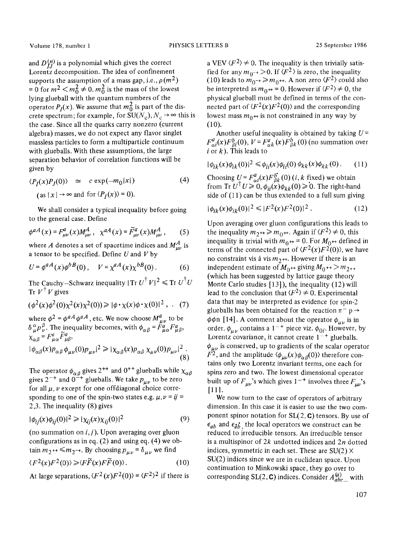and  $D_{IJ}^{(n)}$  is a polynomial which gives the correct Lorentz decomposition. The idea of confinement supports the assumption of a mass gap, i.e.,  $\rho(m^2)$ = 0 for  $m^2 < m_0^2 \neq 0$ .  $m_0^2$  is the mass of the lowest lying glueball with the quantum numbers of the operator  $P_I(x)$ . We assume that  $m_0^2$  is part of the discrete spectrum; for example, for  $SU(N_c), N_c \rightarrow \infty$  this is the case. Since all the quarks carry nonzero (current algebra) masses, we do not expect any flavor singlet massless particles to form a multiparticle continuum with glueballs. With these assumptions, the large separation behavior of correlation functions will be given by

$$
\langle P_I(x)P_J(0)\rangle \simeq c \exp(-m_0|x|)
$$
\n
$$
\text{(as } |x| \to \infty \text{ and for } \langle P_I(x)\rangle = 0\text{)}.
$$
\n
$$
\tag{4}
$$

We shall consider a typical inequality before going to the general case. Define

$$
\phi^{aA}(x) = F_{\mu\nu}^a(x)M_{\mu\nu}^A, \ \ \chi^{aA}(x) = \widetilde{F}_{\mu\nu}^a(x)M_{\mu\nu}^A, \tag{5}
$$

where A denotes a set of spacetime indices and  $M_{\mu\nu}^A$  is a tensor to be specified. Define  $U$  and  $V$  by

$$
U = \phi^{aA}(x)\phi^{bB}(0), \quad V = \chi^{aA}(x)\chi^{bB}(0).
$$
 (6)

The Cauchy-Schwarz inequality  $|{\rm Tr} U^{\dagger} V|^2 \leq {\rm Tr} U^{\dagger} U$ Tr  $V^{\dagger}V$  gives

$$
(\phi^2(x)\phi^2(0)\chi^2(x)\chi^2(0)) \geq |\phi \cdot \chi(x)\phi \cdot \chi(0)|^2 , \quad (7)
$$

where  $\phi^2 = \phi^a A \phi^a A$ , etc. We now choose  $M^a_{\mu\nu}$  to be  $\delta^{\alpha}_{\mu} p^{\beta}_{\nu}$ . The inequality becomes, with  $\phi_{\alpha\beta} = F^a_{\mu\alpha} F^a_{\mu\beta}$ ,  $\chi_{\alpha\beta} = F^a_{\mu\alpha} \tilde{F}^a_{\mu\beta},$ 

$$
|\phi_{\alpha\beta}(x)p_{\alpha\beta}\phi_{\mu\nu}(0)p_{\mu\nu}|^2 \ge |\chi_{\alpha\beta}(x)p_{\alpha\beta}\chi_{\mu\nu}(0)p_{\mu\nu}|^2.
$$
\n(8)

The operator  $\phi_{\alpha\beta}$  gives 2<sup>++</sup> and 0<sup>++</sup> glueballs while  $\chi_{\alpha\beta}$ gives 2<sup>-+</sup> and 0<sup>-+</sup> glueballs. We take  $p_{\mu\nu}$  to be zero for all  $\mu$ ,  $\nu$  except for one offdiagonal choice corresponding to one of the spin-two states e.g.  $\mu, \nu = ij =$ 2,3. The inequality (8) gives

$$
|\phi_{ij}(x)\phi_{ij}(0)|^2 \ge |\chi_{ij}(x)\chi_{ij}(0)|^2 \tag{9}
$$

(no summation on  $i, j$ ). Upon averaging over gluon configurations as in eq.  $(2)$  and using eq.  $(4)$  we obtain  $m_2$ ++  $\leq m_2$ -+. By choosing  $p_{\mu\nu} = \delta_{\mu\nu}$  we find  $\langle F^2(x)F^2(0)\rangle \geq \langle F\widetilde{F}(x)F\widetilde{F}(0)\rangle.$  (10)

At large separations,  $\langle F^2(x) F^2(0) \rangle = \langle F^2 \rangle^2$  if there is

a VEV  $\langle F^2 \rangle \neq 0$ . The inequality is then trivially satisfied for any  $m_{0^{-+}} > 0$ . If  $\langle F^2 \rangle$  is zero, the inequality (10) leads to  $m_{0^{-+}} \ge m_{0^{++}}$ . A non zero  $\langle F^2 \rangle$  could also be interpreted as  $m_0 \rightarrow 0$ . However if  $\langle F^2 \rangle \neq 0$ , the physical glueball must be defined in terms of the connected part of  $\langle F^2(x) F^2(0) \rangle$  and the corresponding lowest mass  $m_0 + i$  is not constrained in any way by  $(10).$ 

Another useful inequality is obtained by taking  $U =$  $F_{\alpha i}^{a}(x)F_{\beta i}^{b}(0), V = F_{\alpha k}^{a}(x)F_{\beta k}^{b}(0)$  (no summation over i or  $k$ ). This leads to

$$
|\phi_{ik}(x)\phi_{ik}(0)|^2 \le \phi_{ii}(x)\phi_{ii}(0)\,\phi_{kk}(x)\phi_{kk}(0). \tag{11}
$$

Choosing  $U = F^{\alpha}_{\alpha i}(x) F^{\beta}_{\beta k}(0)$  (*i*, *k* fixed) we obtain from Tr  $U^{\dagger} U \ge 0$ ,  $\phi_{ii}(x)\phi_{kk}(0) \ge 0$ . The right-hand side of (11) can be thus extended to a full sum giving

$$
|\phi_{ik}(x)\phi_{ik}(0)|^2 \le |F^2(x)F^2(0)|^2.
$$
 (12)

Upon averaging over gluon configurations this leads to the inequality  $m_{2^{++}} \ge m_{0^{++}}$ . Again if  $\langle F^2 \rangle \ne 0$ , this inequality is trivial with  $m_0^{+}=0$ . For  $M_0^{++}$  defined in terms of the connected part of  $\langle F^2(x) F^2(0) \rangle$ , we have no constraint vis à vis  $m_2 +$ . However if there is an independent estimate of  $M_{0^{++}}$  giving  $M_{0^{++}} > m_{2^{++}}$ (which has been suggested by lattice gauge theory Monte Carlo studies  $[13]$ , the inequality  $(12)$  will lead to the conclusion that  $\langle F^2 \rangle \neq 0$ . Experimental data that may be interpreted as evidence for spin-2 glueballs has been obtained for the reaction  $\pi^-$  p  $\rightarrow$  $\phi \phi$ n [14]. A comment about the operator  $\phi_{\mu\nu}$  is in order,  $\phi_{\mu\nu}$  contains a 1<sup>-+</sup> piece viz.  $\phi_{0i}$ . However, by Lorentz covariance, it cannot create  $1^{-+}$  glueballs.  $\phi_{\mu\nu}$  is conserved, up to gradients of the scalar operator  $F<sup>2</sup>$ , and the amplitude  $\langle \phi_{uv}(x)\phi_{\alpha\beta}(0)\rangle$  therefore contains only two Lorentz invariant terms, one each for spins zero and two. The lowest dimensional operator built up of  $F_{\mu\nu}$ 's which gives 1<sup>-+</sup> involves three  $F_{\mu\nu}$ 's [111.

We now turn to the case of operators of arbitrary dimension. In this case it is easier to use the two component spinor notation for  $SL(2, \mathbb{C})$  tensors. By use of  $\epsilon_{ab}$  and  $\epsilon_{ab}^{\dagger}$ , the local operators we construct can be reduced to irreducible tensors. An irreducible tensor is a multispinor of  $2k$  undotted indices and  $2n$  dotted indices, symmetric in each set. These are  $SU(2)$  X SU(2) indices since we are in euclidean space. Upon continuation to Minkowski space, they go over to corresponding SL(2, C) indices. Consider  $A_{abc...}^{(a)}$  with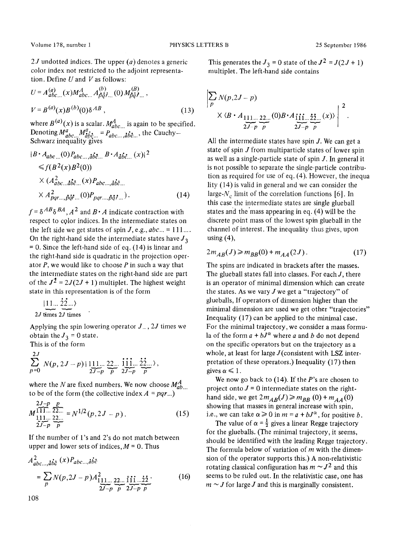2J undotted indices. The upper  $(a)$  denotes a generic color index not restricted to the adjoint representation. Define  $U$  and  $V$  as follows:

$$
U = A_{abc...}^{(a)}(x)M_{abc...}^{A} A_{\vec{p}\vec{q}\vec{r}...}^{(b)}(0) M_{\vec{p}\vec{q}\vec{r}...}^{(B)},
$$
  

$$
V = B^{(a)}(x)B^{(b)}(0)\delta^{AB},
$$
 (13)

where  $B^{(a)}(x)$  is a scalar.  $M_{abc...}^A$  is again to be specified. Denoting  $M^a_{abc}$ ,  $M^a_{abc}$  =  $P_{abc}$ ,  $_{abc}$ , the Cauchy-Schwarz inequality-gives

$$
|B \cdot A_{abc} \dots (0) P_{abc} \dots \hat{a} \hat{b} \hat{c} \dots B \cdot A_{\hat{a}\hat{b}\hat{c} \dots} (x)|^2
$$
  
\n
$$
\leq f(B^2(x)B^2(0))
$$
  
\n
$$
\times (A_{abc}^2 \dots \hat{a} \hat{b} \hat{c} \dots (x) P_{abc} \dots \hat{a} \hat{b} \hat{c} \dots
$$
  
\n
$$
\times A_{pq}^2 \dots \hat{b} \hat{q} \hat{r} \dots (0) P_{pq} \dots \hat{b} \hat{q} \hat{r} \dots ).
$$
 (14)

 $f = \delta^{AB} \delta^{BA}$ ,  $A^2$  and  $B \cdot A$  indicate contraction with respect to cglor indices. In the intermediate states on the left side we get states of spin  $J$ , e.g.,  $abc... = 111...$ On the right-hand side the intermediate states have  $J_3$  $= 0$ . Since the left-hand side of eq. (14) is linear and the right-hand side is quadratic in the projection operator  $P$ , we would like to choose  $P$  in such a way that the intermediate states on the right-hand side are part of the  $J^2 = 2J(2J + 1)$  multiplet. The highest weight state in this representation is of the form

$$
\underbrace{11...}_{2J \text{ times}} \underbrace{22...}_{2J \text{ times}}
$$

Applying the spin lowering operator  $J_-, 2J$  times we obtain the  $J_3 = 0$  state.

This is of the form

$$
\sum_{p=0}^{2J} N(p, 2J-p) | \lim_{2J-p} \frac{22}{p} \cdot \frac{111}{2J-p} \cdot \frac{22}{p} \cdot \frac{22}{p},
$$

where the N are fixed numbers. We now choose  $M_{ab...}^A$ to be of the form (the collective index  $A = pqr...$ )

$$
M_{111...22...}^{2J-p} = N^{1/2}(p, 2J - p).
$$
\n(15)  
\n
$$
2J-p \frac{p}{p}
$$

If the number of l's and 2's do not match between upper and lower sets of indices,  $M = 0$ . Thus

$$
A_{abc...,\dot{a}\dot{b}\dot{c}}^{2}(x)P_{abc...,\dot{a}\dot{b}\dot{c}} = \sum_{p} N(p,2J-p)A_{111...}^{2} \underbrace{22...}_{2J-p} \underbrace{\text{if } \text{if } \text{if } \text{if } \text{if } 22...}_{p} \tag{16}
$$

108

This generates the  $J_3 = 0$  state of the  $J^2 = J(2J + 1)$ multiplet. The left-hand side contains

$$
\sum_{p} N(p, 2J - p)
$$
  
 
$$
\times \langle B \cdot A_{\underbrace{111 \dots 22 \dots (0)}_{2J-p}}(0) B \cdot A_{\underbrace{111 \dots 22 \dots (x)}_{2J-p}}(x) \rangle \Bigg|^{2}.
$$

All the intermediate states have spin J. We can get a state of spin J from multiparticle states of lower spin as well as a single-particle state of spin  $J$ . In general it is not possible to separate the single-particle contribution as required for use of eq. (4). However, the inequa lity (14) is valid in general and we can consider the large- $N_c$  limit of the correlation functions [6]. In this case the intermediate states are single glueball states and the'mass appearing in eq. (4) will be the discrete point mass of the lowest spin glueball in the channel of interest. The inequality thus gives, upon using  $(4)$ ,

$$
2m_{AB}(J) \ge m_{BB}(0) + m_{AA}(2J). \tag{17}
$$

The spins are indicated in brackets after the masses. The glueball states fall into classes. For each  $J$ , there is an operator of minimal dimension which can create the states. As we vary  $J$  we get a "trajectory" of glueballs, If operators of dimension higher than the minimal dimension are used we get other "trajectories" Inequality (17) can be applied to the minimal case. For the minimal trajectory, we consider a mass formula of the form  $a + bJ^{\alpha}$  where a and b do not depend on the specific operators but on the trajectory as a whole, at least for large  $J$ (consistent with LSZ interpretation of these operators.) Inequality (17) then gives  $\alpha \leq 1$ .

We now go back to  $(14)$ . If the P's are chosen to project onto  $J = 0$  intermediate states on the righthand side, we get  $2m_{AB}(J) \ge m_{BB}(0) + m_{AA}(0)$ showing that masses in general increase with spin, i.e., we can take  $\alpha \geq 0$  in  $m = a + bJ^{\alpha}$ , for positive b.

The value of  $\alpha = \frac{1}{2}$  gives a linear Regge trajectory for the glueballs. (The minimal trajectory, it seems, should be identified with the leading Regge trajectory. The formula below of variation of  $m$  with the dimension of the operator supports this.) A non-relativistic rotating classical configuration has  $m \sim J^2$  and this seems to be ruled out. In the relativistic case, one has  $m \sim J$  for large J and this is marginally consistent.